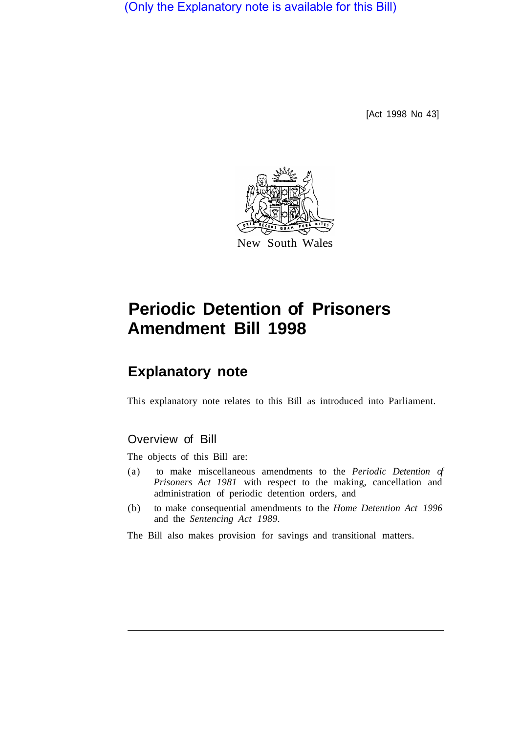(Only the Explanatory note is available for this Bill)

[Act 1998 No 43]



# **Periodic Detention of Prisoners Amendment Bill 1998**

# **Explanatory note**

This explanatory note relates to this Bill as introduced into Parliament.

# Overview of Bill

The objects of this Bill are:

- (a) to make miscellaneous amendments to the *Periodic Detention of Prisoners Act 1981* with respect to the making, cancellation and administration of periodic detention orders, and
- (b) to make consequential amendments to the *Home Detention Act 1996*  and the *Sentencing Act 1989.*

The Bill also makes provision for savings and transitional matters.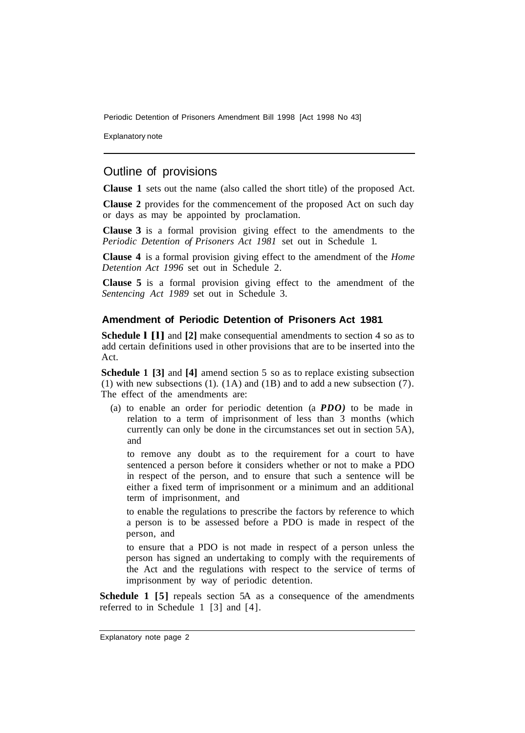Explanatory note

## Outline of provisions

**Clause 1** sets out the name (also called the short title) of the proposed Act.

**Clause 2** provides for the commencement of the proposed Act on such day or days as may be appointed by proclamation.

**Clause 3** is a formal provision giving effect to the amendments to the *Periodic Detention of Prisoners Act 1981* set out in Schedule 1.

**Clause 4** is a formal provision giving effect to the amendment of the *Home Detention Act 1996* set out in Schedule 2.

**Clause 5** is a formal provision giving effect to the amendment of the *Sentencing Act 1989* set out in Schedule 3.

### **Amendment of Periodic Detention of Prisoners Act 1981**

**Schedule l [l]** and **[2]** make consequential amendments to section 4 so as to add certain definitions used in other provisions that are to be inserted into the Act.

**Schedule 1 [3]** and **[4]** amend section 5 so as to replace existing subsection (1) with new subsections (1). (1A) and (1B) and to add a new subsection (7). The effect of the amendments are:

(a) to enable an order for periodic detention (a *PDO)* to be made in relation to a term of imprisonment of less than 3 months (which currently can only be done in the circumstances set out in section 5A), and

to remove any doubt as to the requirement for a court to have sentenced a person before it considers whether or not to make a PDO in respect of the person, and to ensure that such a sentence will be either a fixed term of imprisonment or a minimum and an additional term of imprisonment, and

to enable the regulations to prescribe the factors by reference to which a person is to be assessed before a PDO is made in respect of the person, and

to ensure that a PDO is not made in respect of a person unless the person has signed an undertaking to comply with the requirements of the Act and the regulations with respect to the service of terms of imprisonment by way of periodic detention.

**Schedule 1 [5]** repeals section 5A as a consequence of the amendments referred to in Schedule 1 [3] and [4].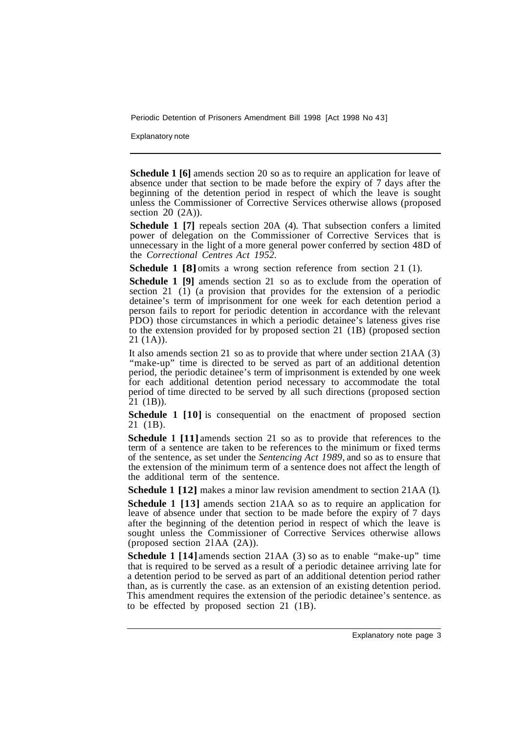Explanatory note

**Schedule 1 [6]** amends section 20 so as to require an application for leave of absence under that section to be made before the expiry of 7 days after the beginning of the detention period in respect of which the leave is sought unless the Commissioner of Corrective Services otherwise allows (proposed section  $20$   $(2A)$ ).

**Schedule 1 [7]** repeals section 20A (4). That subsection confers a limited power of delegation on the Commissioner of Corrective Services that is unnecessary in the light of a more general power conferred by section 48D of the *Correctional Centres Act 1952.* 

**Schedule 1 [8]** omits a wrong section reference from section 21 (1).

**Schedule 1 [9]** amends section 21 so as to exclude from the operation of section 21  $\overline{(1)}$  (a provision that provides for the extension of a periodic detainee's term of imprisonment for one week for each detention period a person fails to report for periodic detention in accordance with the relevant PDO) those circumstances in which a periodic detainee's lateness gives rise to the extension provided for by proposed section 21 (1B) (proposed section 21 (1A)).

It also amends section 21 so as to provide that where under section 21AA (3) "make-up" time is directed to be served as part of an additional detention period, the periodic detainee's term of imprisonment is extended by one week for each additional detention period necessary to accommodate the total period of time directed to be served by all such directions (proposed section  $21$  (1B)).

**Schedule 1 [10]** is consequential on the enactment of proposed section 21 (1B).

**Schedule 1 [11]** amends section 21 so as to provide that references to the term of a sentence are taken to be references to the minimum or fixed terms of the sentence, as set under the *Sentencing Act 1989,* and so as to ensure that the extension of the minimum term of a sentence does not affect the length of the additional term of the sentence.

**Schedule 1 [12]** makes a minor law revision amendment to section 21AA (1).

**Schedule 1 [13]** amends section 21AA so as to require an application for leave of absence under that section to be made before the expiry of 7 days after the beginning of the detention period in respect of which the leave is sought unless the Commissioner of Corrective Services otherwise allows (proposed section 21AA  $(2A)$ ).

**Schedule 1 [14]** amends section 21 AA (3) so as to enable "make-up" time that is required to be served as a result of a periodic detainee arriving late for a detention period to be served as part of an additional detention period rather than, as is currently the case. as an extension of an existing detention period. This amendment requires the extension of the periodic detainee's sentence. as to be effected by proposed section 21 (1B).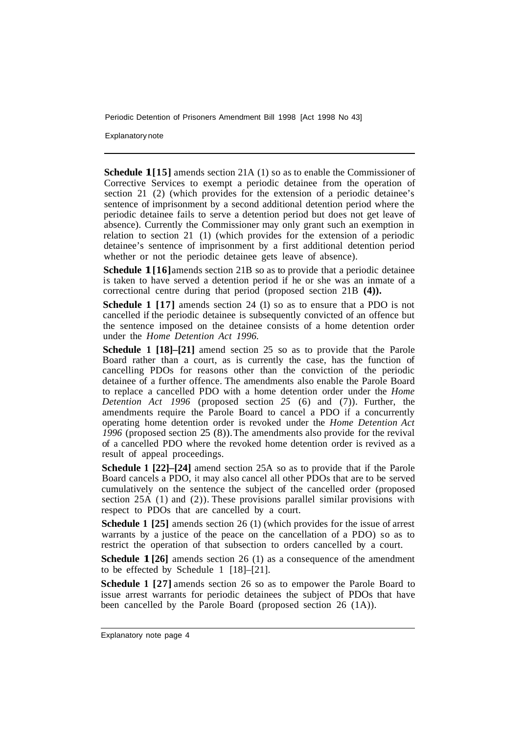Explanatory note

**Schedule 1[15]** amends section 21A (1) so as to enable the Commissioner of Corrective Services to exempt a periodic detainee from the operation of section 21 (2) (which provides for the extension of a periodic detainee's sentence of imprisonment by a second additional detention period where the periodic detainee fails to serve a detention period but does not get leave of absence). Currently the Commissioner may only grant such an exemption in relation to section 21 (1) (which provides for the extension of a periodic detainee's sentence of imprisonment by a first additional detention period whether or not the periodic detainee gets leave of absence).

**Schedule 1**[16] amends section 21B so as to provide that a periodic detainee is taken to have served a detention period if he or she was an inmate of a correctional centre during that period (proposed section 21B **(4)).** 

**Schedule 1 [17]** amends section 24 (1) so as to ensure that a PDO is not cancelled if the periodic detainee is subsequently convicted of an offence but the sentence imposed on the detainee consists of a home detention order under the *Home Detention Act 1996.* 

**Schedule 1 [18]–[21]** amend section 25 so as to provide that the Parole Board rather than a court, as is currently the case, has the function of cancelling PDOs for reasons other than the conviction of the periodic detainee of a further offence. The amendments also enable the Parole Board to replace a cancelled PDO with a home detention order under the *Home Detention Act 1996* (proposed section *25* (6) and (7)). Further, the amendments require the Parole Board to cancel a PDO if a concurrently operating home detention order is revoked under the *Home Detention Act 1996* (proposed section 25 (8)). The amendments also provide for the revival of a cancelled PDO where the revoked home detention order is revived as a result of appeal proceedings.

**Schedule 1 [22]–[24]** amend section 25A so as to provide that if the Parole Board cancels a PDO, it may also cancel all other PDOs that are to be served cumulatively on the sentence the subject of the cancelled order (proposed section 25A (1) and (2)). These provisions parallel similar provisions with respect to PDOs that are cancelled by a court.

**Schedule 1 [25]** amends section 26 (1) (which provides for the issue of arrest warrants by a justice of the peace on the cancellation of a PDO) so as to restrict the operation of that subsection to orders cancelled by a court.

**Schedule 1 [26]** amends section 26 (1) as a consequence of the amendment to be effected by Schedule 1 [18]–[21].

**Schedule 1 [27]** amends section 26 so as to empower the Parole Board to issue arrest warrants for periodic detainees the subject of PDOs that have been cancelled by the Parole Board (proposed section 26 (1A)).